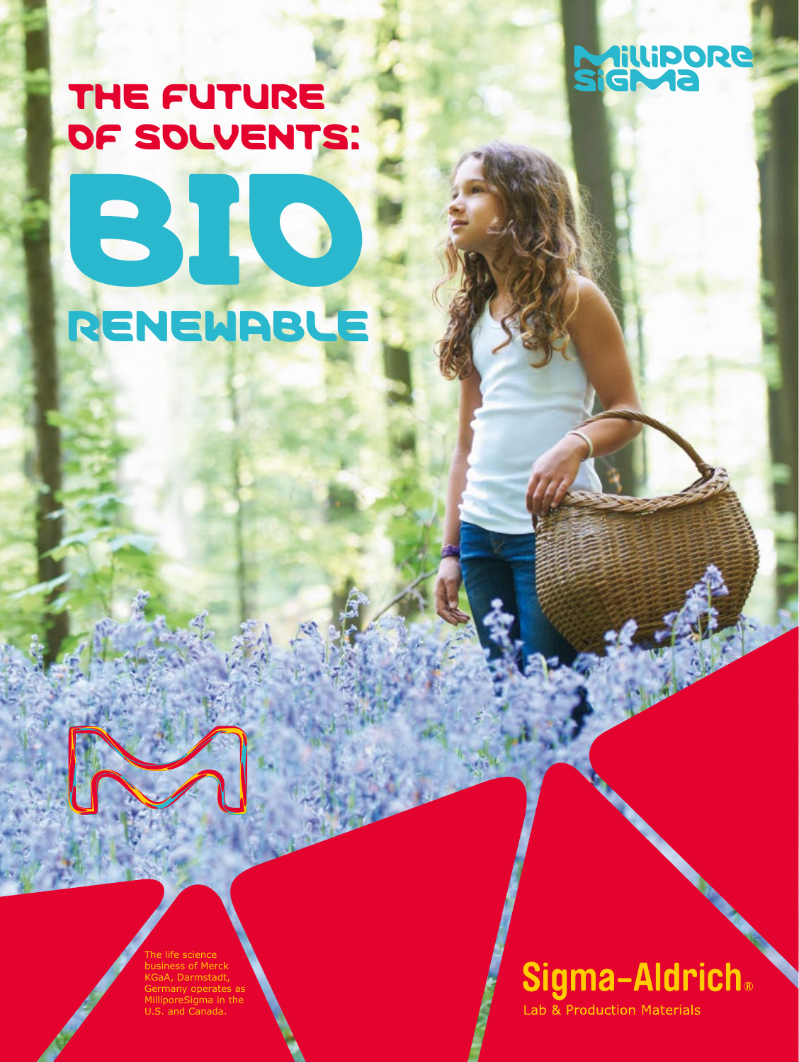# THE FUTURE OF SOLVENTS:



BIO RENEWABLE

> The life science business of Merck KGaA, Darmstadt, Germany operates as MilliporeSigma in the U.S. and Canada.

# Sigma-Aldrich.

Lab & Production Materials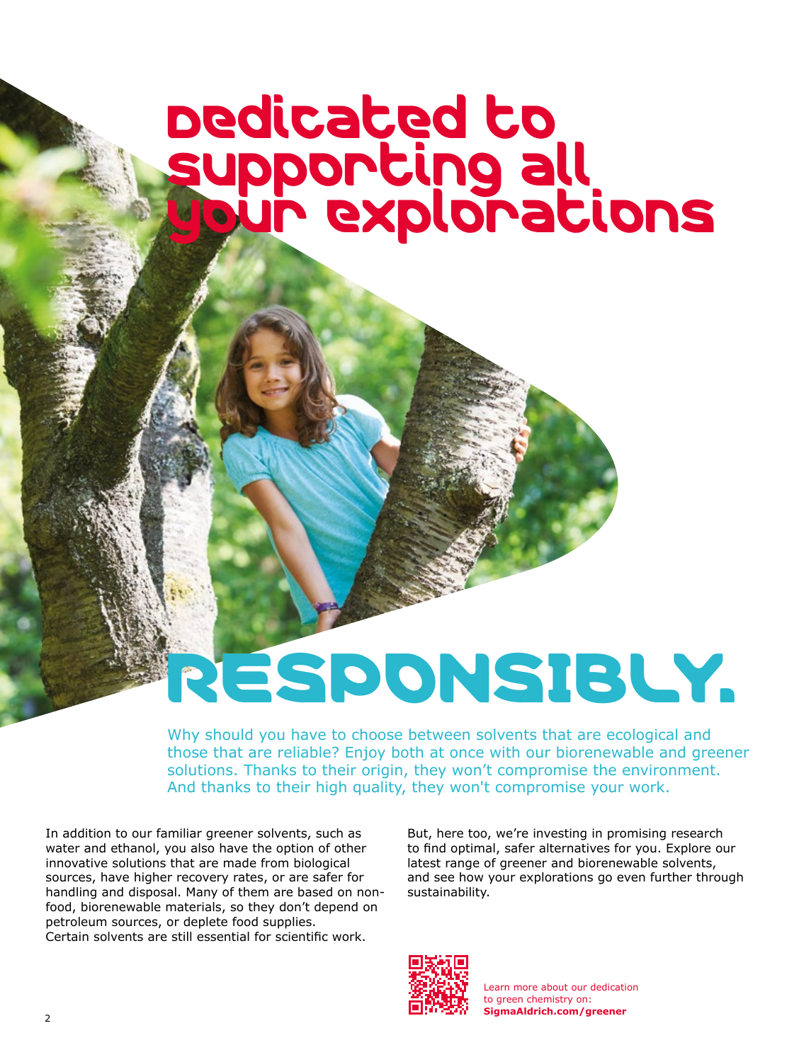# Dedicated to supporting all your explorations

# RESPONSIBLY.

Why should you have to choose between solvents that are ecological and those that are reliable? Enjoy both at once with our biorenewable and greener solutions. Thanks to their origin, they won't compromise the environment. And thanks to their high quality, they won't compromise your work.

In addition to our familiar greener solvents, such as water and ethanol, you also have the option of other innovative solutions that are made from biological sources, have higher recovery rates, or are safer for handling and disposal. Many of them are based on nonfood, biorenewable materials, so they don't depend on petroleum sources, or deplete food supplies. Certain solvents are still essential for scientific work.

But, here too, we're investing in promising research to find optimal, safer alternatives for you. Explore our latest range of greener and biorenewable solvents, and see how your explorations go even further through sustainability.



Learn more about our dedication to green chemistry on: **[SigmaAldrich.com/greener](www.SigmaAldrich.com/greener)**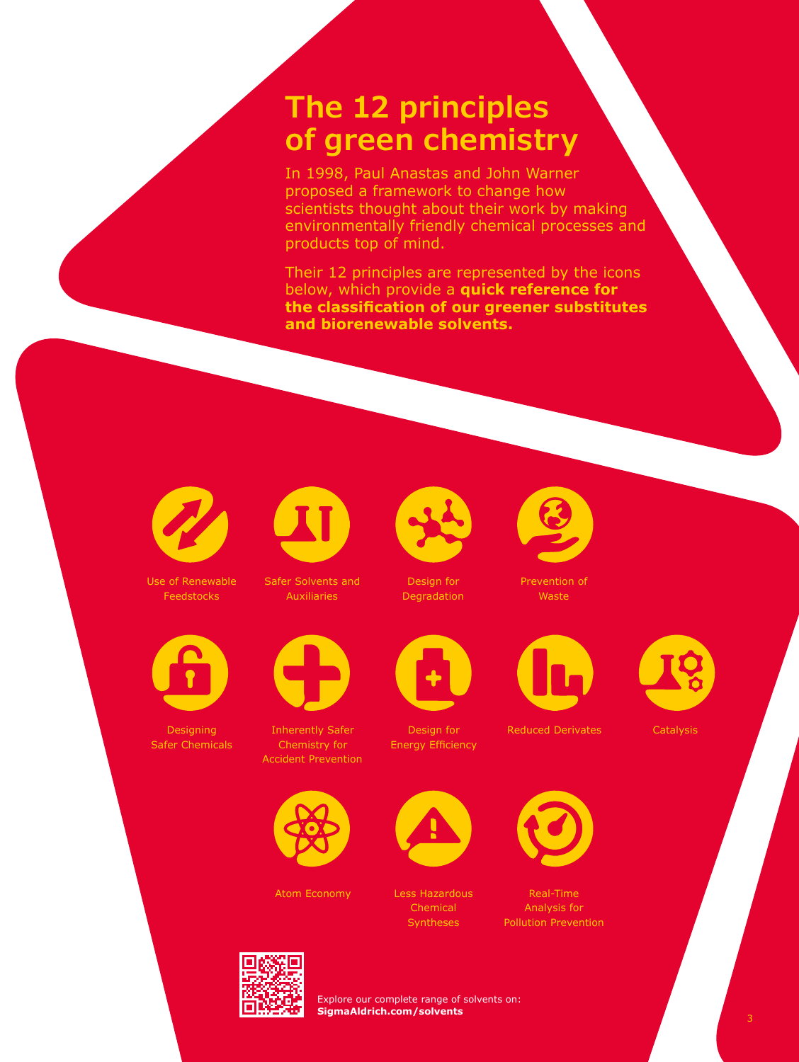## **The 12 principles of green chemistry**

In 1998, Paul Anastas and John Warner proposed a framework to change how scientists thought about their work by making environmentally friendly chemical processes and products top of mind.

Their 12 principles are represented by the icons below, which provide a **quick reference for the classification of our greener substitutes and biorenewable solvents.**



Use of Renewable Feedstocks



Designing Safer Chemicals



Safer Solvents and Auxiliaries



Inherently Safer Chemistry for Accident Prevention



Atom Economy Less Hazardous



Design for Degradation



Design for Energy Efficiency



Chemical Syntheses



Prevention of Waste



Reduced Derivates **Catalysis** 

Real-Time Analysis for Pollution Prevention









Explore our complete range of solvents on: **[SigmaAldrich.com/solvents](www.SigmaAldrich.com/solvents)**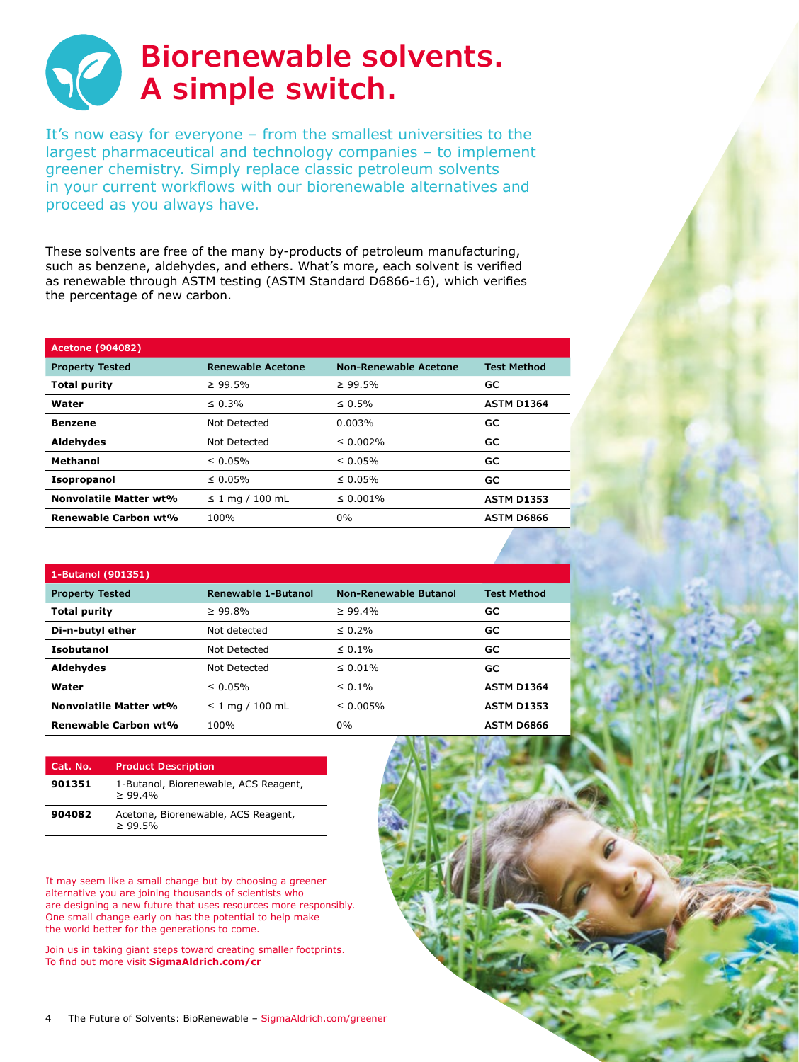

It's now easy for everyone – from the smallest universities to the largest pharmaceutical and technology companies – to implement greener chemistry. Simply replace classic petroleum solvents in your current workflows with our biorenewable alternatives and proceed as you always have.

These solvents are free of the many by-products of petroleum manufacturing, such as benzene, aldehydes, and ethers. What's more, each solvent is verified as renewable through ASTM testing (ASTM Standard D6866-16), which verifies the percentage of new carbon.

| <b>Acetone (904082)</b> |                          |                              |                    |  |
|-------------------------|--------------------------|------------------------------|--------------------|--|
| <b>Property Tested</b>  | <b>Renewable Acetone</b> | <b>Non-Renewable Acetone</b> | <b>Test Method</b> |  |
| <b>Total purity</b>     | $\geq 99.5\%$            | $\geq 99.5\%$                | GC                 |  |
| Water                   | $\leq 0.3\%$             | $\leq 0.5\%$                 | <b>ASTM D1364</b>  |  |
| <b>Benzene</b>          | Not Detected             | 0.003%                       | GC                 |  |
| Aldehydes               | Not Detected             | $\leq 0.002\%$               | GC                 |  |
| <b>Methanol</b>         | $\leq 0.05\%$            | $\leq 0.05\%$                | GC                 |  |
| <b>Isopropanol</b>      | $\leq 0.05\%$            | $\leq 0.05\%$                | GC                 |  |
| Nonvolatile Matter wt%  | $\leq 1$ mg / 100 mL     | $\leq 0.001\%$               | <b>ASTM D1353</b>  |  |
| Renewable Carbon wt%    | 100%                     | $0\%$                        | <b>ASTM D6866</b>  |  |
|                         |                          |                              |                    |  |

| 1-Butanol (901351)     |                            |                              |                    |  |  |
|------------------------|----------------------------|------------------------------|--------------------|--|--|
| <b>Property Tested</b> | <b>Renewable 1-Butanol</b> | <b>Non-Renewable Butanol</b> | <b>Test Method</b> |  |  |
| <b>Total purity</b>    | $\geq 99.8\%$              | $\geq 99.4\%$                | GC                 |  |  |
| Di-n-butyl ether       | Not detected               | $\leq 0.2\%$                 | GC                 |  |  |
| Isobutanol             | Not Detected               | $\leq 0.1\%$                 | GC                 |  |  |
| Aldehydes              | Not Detected               | $\leq 0.01\%$                | GC                 |  |  |
| Water                  | $\leq 0.05\%$              | $\leq 0.1\%$                 | <b>ASTM D1364</b>  |  |  |
| Nonvolatile Matter wt% | $\leq 1$ mg / 100 mL       | $\leq 0.005\%$               | <b>ASTM D1353</b>  |  |  |
| Renewable Carbon wt%   | 100%                       | $0\%$                        | <b>ASTM D6866</b>  |  |  |

| Cat. No. | <b>Product Description</b>                           |
|----------|------------------------------------------------------|
| 901351   | 1-Butanol, Biorenewable, ACS Reagent,<br>> 99.4%     |
| 904082   | Acetone, Biorenewable, ACS Reagent,<br>$\geq 99.5\%$ |

It may seem like a small change but by choosing a greener alternative you are joining thousands of scientists who are designing a new future that uses resources more responsibly. One small change early on has the potential to help make the world better for the generations to come.

Join us in taking giant steps toward creating smaller footprints. To find out more visit **[SigmaAldrich.com/cr](www.SigmaAldrich.com/cr)** 

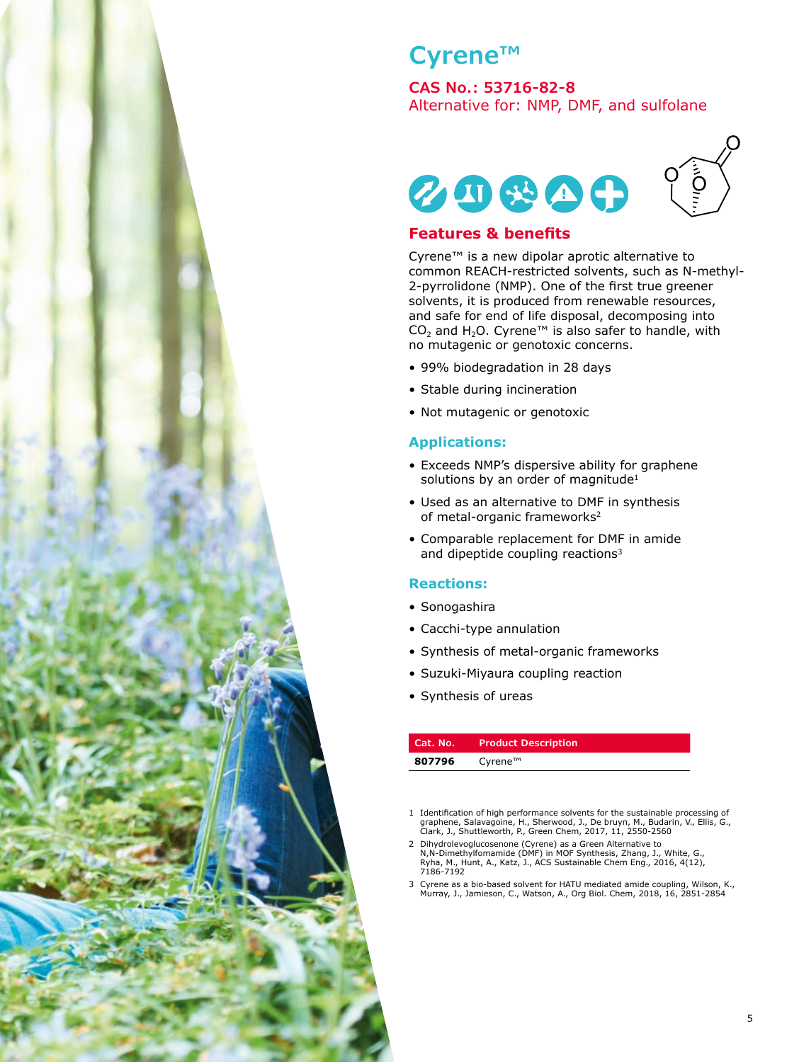

### **Cyrene™**

#### **CAS No.: 53716-82-8**

Alternative for: NMP, DMF, and sulfolane



#### **Features & benefits**

Cyrene™ is a new dipolar aprotic alternative to common REACH-restricted solvents, such as N-methyl-2-pyrrolidone (NMP). One of the first true greener solvents, it is produced from renewable resources, and safe for end of life disposal, decomposing into CO<sub>2</sub> and H<sub>2</sub>O. Cyrene™ is also safer to handle, with no mutagenic or genotoxic concerns.

- 99% biodegradation in 28 days
- Stable during incineration
- Not mutagenic or genotoxic

#### **Applications:**

- Exceeds NMP's dispersive ability for graphene solutions by an order of magnitude<sup>1</sup>
- Used as an alternative to DMF in synthesis of metal-organic frameworks<sup>2</sup>
- Comparable replacement for DMF in amide and dipeptide coupling reactions<sup>3</sup>

#### **Reactions:**

- Sonogashira
- Cacchi-type annulation
- Synthesis of metal-organic frameworks
- Suzuki-Miyaura coupling reaction
- Synthesis of ureas

| Cat. No. | <b>Product Description</b>                  |
|----------|---------------------------------------------|
| 807796   | $C$ <i>yrene</i> <sup><math>TM</math></sup> |

1 Identification of high performance solvents for the sustainable processing of graphene, Salavagoine, H., Sherwood, J., De bruyn, M., Budarin, V., Ellis, G., Clark, J., Shuttleworth, P., Green Chem, 2017, 11, 2550-2560

3 Cyrene as a bio-based solvent for HATU mediated amide coupling, Wilson, K., Murray, J., Jamieson, C., Watson, A., Org Biol. Chem, 2018, 16, 2851-2854

<sup>2</sup> Dihydrolevoglucosenone (Cyrene) as a Green Alternative to N,N-Dimethylfomamide (DMF) in MOF Synthesis, Zhang, J., White, G., Ryha, M., Hunt, A., Katz, J., ACS Sustainable Chem Eng., 2016, 4(12), 7186-7192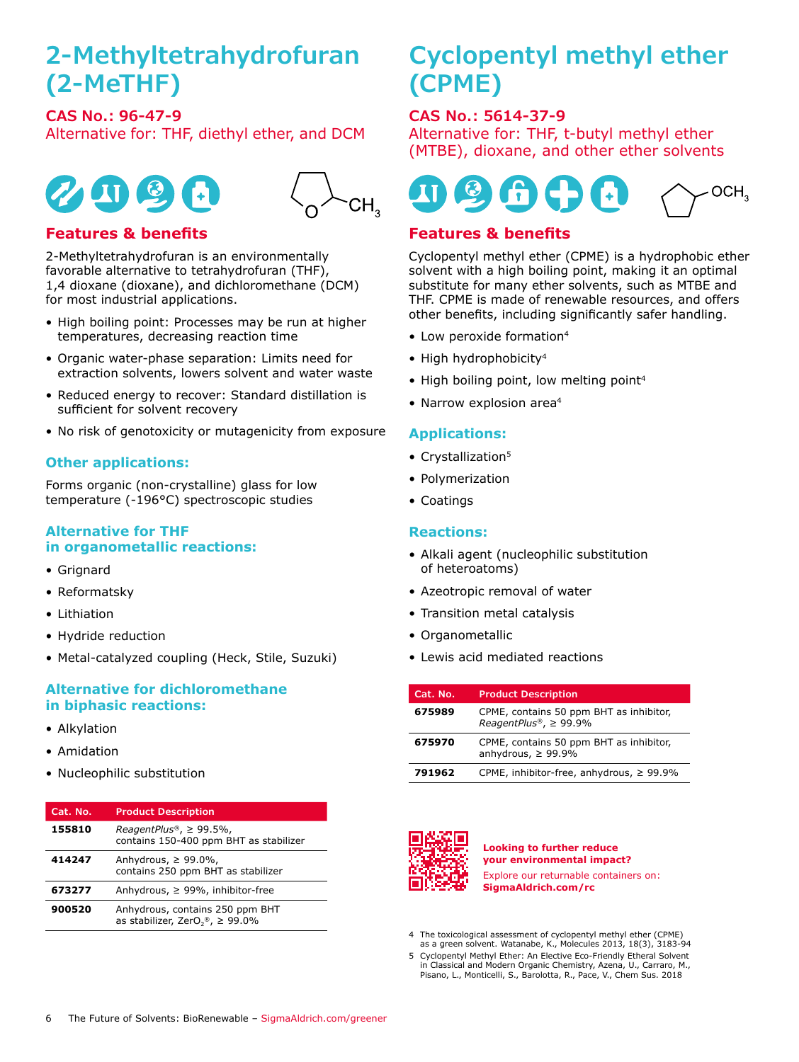## **2-Methyltetrahydrofuran (2-MeTHF)**

**CAS No.: 96-47-9**  Alternative for: THF, diethyl ether, and DCM





#### **Features & benefits**

2-Methyltetrahydrofuran is an environmentally favorable alternative to tetrahydrofuran (THF), 1,4 dioxane (dioxane), and dichloromethane (DCM) for most industrial applications.

- High boiling point: Processes may be run at higher temperatures, decreasing reaction time
- Organic water-phase separation: Limits need for extraction solvents, lowers solvent and water waste
- Reduced energy to recover: Standard distillation is sufficient for solvent recovery
- No risk of genotoxicity or mutagenicity from exposure

#### **Other applications:**

Forms organic (non-crystalline) glass for low temperature (-196°C) spectroscopic studies

#### **Alternative for THF in organometallic reactions:**

- Grignard
- Reformatsky
- Lithiation
- Hydride reduction
- Metal-catalyzed coupling (Heck, Stile, Suzuki)

#### **Alternative for dichloromethane in biphasic reactions:**

- Alkylation
- Amidation
- Nucleophilic substitution

| Cat. No. | <b>Product Description</b>                                                          |
|----------|-------------------------------------------------------------------------------------|
| 155810   | ReagentPlus®, $\geq$ 99.5%,<br>contains 150-400 ppm BHT as stabilizer               |
| 414247   | Anhydrous, $\geq 99.0\%$ ,<br>contains 250 ppm BHT as stabilizer                    |
| 673277   | Anhydrous, $\geq$ 99%, inhibitor-free                                               |
| 900520   | Anhydrous, contains 250 ppm BHT<br>as stabilizer, ZerO <sub>2®</sub> , $\geq$ 99.0% |

## **Cyclopentyl methyl ether (CPME)**

#### **CAS No.: 5614-37-9**

Alternative for: THF, t-butyl methyl ether (MTBE), dioxane, and other ether solvents



#### **Features & benefits**

Cyclopentyl methyl ether (CPME) is a hydrophobic ether solvent with a high boiling point, making it an optimal substitute for many ether solvents, such as MTBE and THF. CPME is made of renewable resources, and offers other benefits, including significantly safer handling.

- Low peroxide formation<sup>4</sup>
- High hydrophobicity<sup>4</sup>
- High boiling point, low melting point<sup>4</sup>
- Narrow explosion area<sup>4</sup>

#### **Applications:**

- Crystallization<sup>5</sup>
- Polymerization
- Coatings

#### **Reactions:**

- Alkali agent (nucleophilic substitution of heteroatoms)
- Azeotropic removal of water
- Transition metal catalysis
- Organometallic
- Lewis acid mediated reactions

| Cat. No. | <b>Product Description</b>                                            |
|----------|-----------------------------------------------------------------------|
| 675989   | CPME, contains 50 ppm BHT as inhibitor,<br>ReagentPlus®, $\geq$ 99.9% |
| 675970   | CPME, contains 50 ppm BHT as inhibitor,<br>anhydrous, $\geq 99.9\%$   |
| 791962   | CPME, inhibitor-free, anhydrous, $\geq 99.9\%$                        |



**Looking to further reduce your environmental impact?**  Explore our returnable containers on: **[SigmaAldrich.com/rc](www.SigmaAldrich.com/rc)**

- 4 The toxicological assessment of cyclopentyl methyl ether (CPME) as a green solvent. Watanabe, K., Molecules 2013, 18(3), 3183-94
- 5 Cyclopentyl Methyl Ether: An Elective Eco-Friendly Etheral Solvent in Classical and Modern Organic Chemistry, Azena, U., Carraro, M., Pisano, L., Monticelli, S., Barolotta, R., Pace, V., Chem Sus. 2018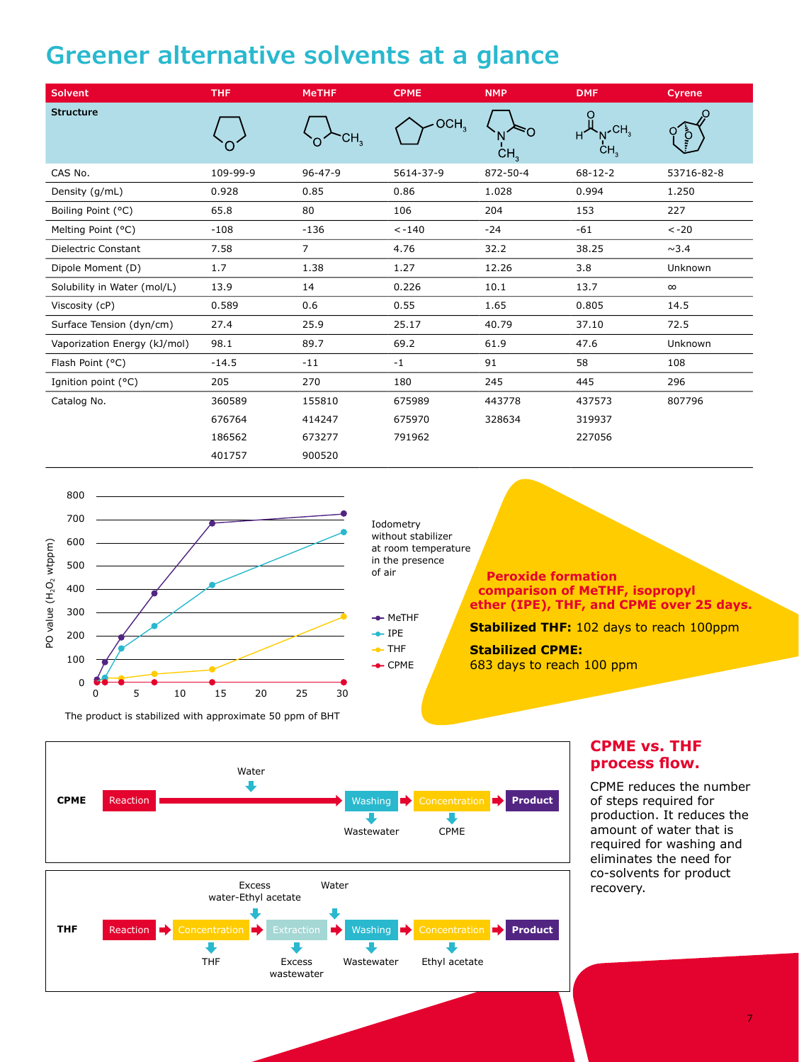## **Greener alternative solvents at a glance**

| <b>Solvent</b>               | <b>THF</b> | <b>MeTHF</b>              | <b>CPME</b>      | <b>NMP</b>      | <b>DMF</b>                    | Cyrene     |
|------------------------------|------------|---------------------------|------------------|-----------------|-------------------------------|------------|
| <b>Structure</b>             |            | $\overline{\mathsf{u}}_3$ | OCH <sub>3</sub> | CH <sub>3</sub> | $\overline{CH_3}$<br>Ĥ<br>CH, |            |
| CAS No.                      | 109-99-9   | $96 - 47 - 9$             | 5614-37-9        | 872-50-4        | $68 - 12 - 2$                 | 53716-82-8 |
| Density (g/mL)               | 0.928      | 0.85                      | 0.86             | 1.028           | 0.994                         | 1.250      |
| Boiling Point (°C)           | 65.8       | 80                        | 106              | 204             | 153                           | 227        |
| Melting Point (°C)           | $-108$     | $-136$                    | $< -140$         | $-24$           | $-61$                         | $< -20$    |
| Dielectric Constant          | 7.58       | $\overline{7}$            | 4.76             | 32.2            | 38.25                         | $\sim$ 3.4 |
| Dipole Moment (D)            | 1.7        | 1.38                      | 1.27             | 12.26           | 3.8                           | Unknown    |
| Solubility in Water (mol/L)  | 13.9       | 14                        | 0.226            | 10.1            | 13.7                          | $\infty$   |
| Viscosity (cP)               | 0.589      | 0.6                       | 0.55             | 1.65            | 0.805                         | 14.5       |
| Surface Tension (dyn/cm)     | 27.4       | 25.9                      | 25.17            | 40.79           | 37.10                         | 72.5       |
| Vaporization Energy (kJ/mol) | 98.1       | 89.7                      | 69.2             | 61.9            | 47.6                          | Unknown    |
| Flash Point (°C)             | $-14.5$    | $-11$                     | $-1$             | 91              | 58                            | 108        |
| Ignition point (°C)          | 205        | 270                       | 180              | 245             | 445                           | 296        |
| Catalog No.                  | 360589     | 155810                    | 675989           | 443778          | 437573                        | 807796     |
|                              | 676764     | 414247                    | 675970           | 328634          | 319937                        |            |
|                              | 186562     | 673277                    | 791962           |                 | 227056                        |            |
|                              | 401757     | 900520                    |                  |                 |                               |            |



Iodometry without stabilizer at room temperature in the presence of air



 **Peroxide formation comparison of MeTHF, isopropyl ether (IPE), THF, and CPME over 25 days.**

**Stabilized THF:** 102 days to reach 100ppm

**Stabilized CPME:**  683 days to reach 100 ppm



#### **CPME vs. THF process flow.**

CPME reduces the number of steps required for production. It reduces the amount of water that is required for washing and eliminates the need for co-solvents for product recovery.